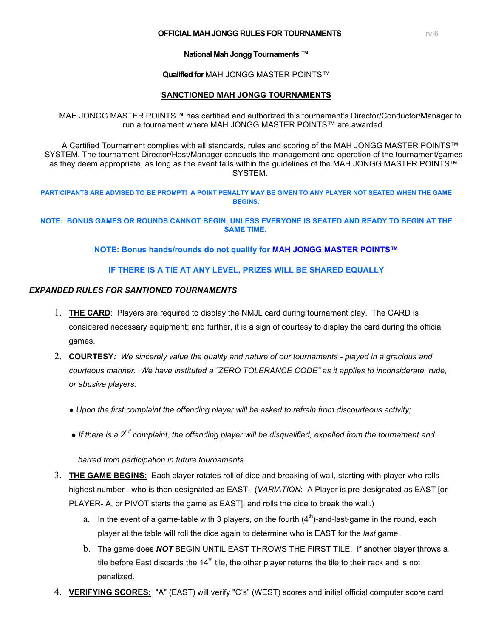#### **OFFICIAL MAH JONGG RULES FOR TOURNAMENTS RIGHTS**

**National Mah Jongg Tournaments** ™

**Qualified for** MAH JONGG MASTER POINTS™

#### **SANCTIONED MAH JONGG TOURNAMENTS**

MAH JONGG MASTER POINTS™ has certified and authorized this tournament's Director/Conductor/Manager to run a tournament where MAH JONGG MASTER POINTS™ are awarded.

 A Certified Tournament complies with all standards, rules and scoring of the MAH JONGG MASTER POINTS™ SYSTEM. The tournament Director/Host/Manager conducts the management and operation of the tournament/games as they deem appropriate, as long as the event falls within the guidelines of the MAH JONGG MASTER POINTS™ SYSTEM.

**PARTICIPANTS ARE ADVISED TO BE PROMPT! A POINT PENALTY MAY BE GIVEN TO ANY PLAYER NOT SEATED WHEN THE GAME BEGINS.**

**NOTE: BONUS GAMES OR ROUNDS CANNOT BEGIN, UNLESS EVERYONE IS SEATED AND READY TO BEGIN AT THE SAME TIME.**

**NOTE: Bonus hands/rounds do not qualify for MAH JONGG MASTER POINTS™**

### **IF THERE IS A TIE AT ANY LEVEL, PRIZES WILL BE SHARED EQUALLY**

#### *EXPANDED RULES FOR SANTIONED TOURNAMENTS*

- 1. **THE CARD**: Players are required to display the NMJL card during tournament play. The CARD is considered necessary equipment; and further, it is a sign of courtesy to display the card during the official games.
- 2. **COURTESY***: We sincerely value the quality and nature of our tournaments played in a gracious and courteous manner*. *We have instituted a "ZERO TOLERANCE CODE" as it applies to inconsiderate, rude, or abusive players:*
	- *● Upon the first complaint the offending player will be asked to refrain from discourteous activity;*
	- *● If there is a 2nd complaint, the offending player will be disqualified, expelled from the tournament and*

 *barred from participation in future tournaments.*

- 3. **THE GAME BEGINS:** Each player rotates roll of dice and breaking of wall, starting with player who rolls highest number - who is then designated as EAST. (*VARIATION*: A Player is pre-designated as EAST [or PLAYER- A, or PIVOT starts the game as EAST], and rolls the dice to break the wall.)
	- a. In the event of a game-table with 3 players, on the fourth  $(4<sup>th</sup>)$ -and-last-game in the round, each player at the table will roll the dice again to determine who is EAST for the *last* game.
	- b. The game does *NOT* BEGIN UNTIL EAST THROWS THE FIRST TILE. If another player throws a tile before East discards the  $14<sup>th</sup>$  tile, the other player returns the tile to their rack and is not penalized.
- 4. **VERIFYING SCORES:** "A" (EAST) will verify "C's" (WEST) scores and initial official computer score card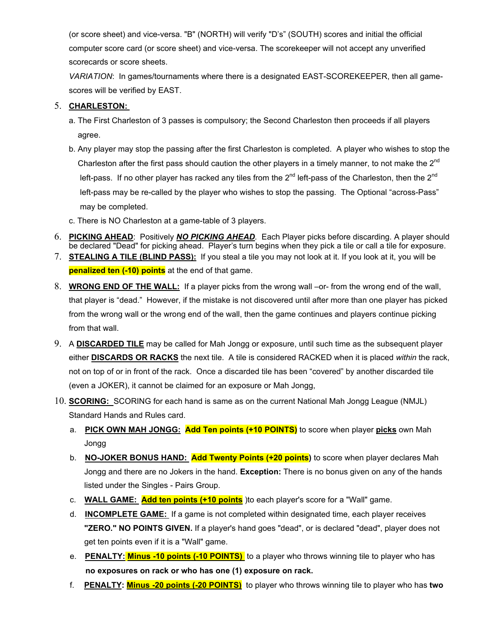(or score sheet) and vice-versa. "B" (NORTH) will verify "D's" (SOUTH) scores and initial the official computer score card (or score sheet) and vice-versa. The scorekeeper will not accept any unverified scorecards or score sheets.

*VARIATION*: In games/tournaments where there is a designated EAST-SCOREKEEPER, then all gamescores will be verified by EAST.

## 5. **CHARLESTON:**

- a. The First Charleston of 3 passes is compulsory; the Second Charleston then proceeds if all players agree.
- b. Any player may stop the passing after the first Charleston is completed. A player who wishes to stop the Charleston after the first pass should caution the other players in a timely manner, to not make the  $2^{nd}$ left-pass. If no other player has racked any tiles from the  $2^{nd}$  left-pass of the Charleston, then the  $2^{nd}$  left-pass may be re-called by the player who wishes to stop the passing. The Optional "across-Pass" may be completed.
- c. There is NO Charleston at a game-table of 3 players.
- 6. **PICKING AHEAD**: Positively *NO PICKING AHEAD.* Each Player picks before discarding. A player should be declared "Dead" for picking ahead. Player's turn begins when they pick a tile or call a tile for exposure.
- 7. **STEALING A TILE (BLIND PASS):** If you steal a tile you may not look at it. If you look at it, you will be **penalized ten (-10) points** at the end of that game.
- 8. **WRONG END OF THE WALL:** If a player picks from the wrong wall –or- from the wrong end of the wall, that player is "dead." However, if the mistake is not discovered until after more than one player has picked from the wrong wall or the wrong end of the wall, then the game continues and players continue picking from that wall.
- 9. A **DISCARDED TILE** may be called for Mah Jongg or exposure, until such time as the subsequent player either **DISCARDS OR RACKS** the next tile. A tile is considered RACKED when it is placed *within* the rack, not on top of or in front of the rack. Once a discarded tile has been "covered" by another discarded tile (even a JOKER), it cannot be claimed for an exposure or Mah Jongg,
- 10. **SCORING:** SCORING for each hand is same as on the current National Mah Jongg League (NMJL) Standard Hands and Rules card.
	- a. **PICK OWN MAH JONGG: Add Ten points (+10 POINTS)** to score when player **picks** own Mah Jongg
	- b. **NO-JOKER BONUS HAND: Add Twenty Points (+20 points)** to score when player declares Mah Jongg and there are no Jokers in the hand. **Exception:** There is no bonus given on any of the hands listed under the Singles - Pairs Group.
	- c. **WALL GAME: Add ten points (+10 points** )to each player's score for a "Wall" game.
	- d. **INCOMPLETE GAME:** If a game is not completed within designated time, each player receives **"ZERO." NO POINTS GIVEN.** If a player's hand goes "dead", or is declared "dead", player does not get ten points even if it is a "Wall" game.
	- e. **PENALTY: Minus -10 points (-10 POINTS)** to a player who throws winning tile to player who has  **no exposures on rack or who has one (1) exposure on rack.**
	- f. **PENALTY: Minus -20 points (-20 POINTS)** to player who throws winning tile to player who has **two**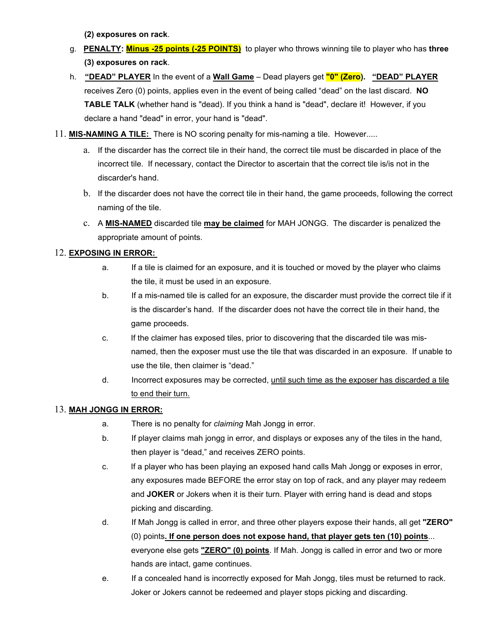**(2) exposures on rack**.

- g. **PENALTY: Minus -25 points (-25 POINTS)** to player who throws winning tile to player who has **three (3) exposures on rack**.
- h. **"DEAD" PLAYER** In the event of a **Wall Game** Dead players get **"0" (Zero). "DEAD" PLAYER**  receives Zero (0) points, applies even in the event of being called "dead" on the last discard. **NO TABLE TALK** (whether hand is "dead). If you think a hand is "dead", declare it! However, if you declare a hand "dead" in error, your hand is "dead".
- 11. **MIS-NAMING A TILE:** There is NO scoring penalty for mis-naming a tile. However.....
	- a. If the discarder has the correct tile in their hand, the correct tile must be discarded in place of the incorrect tile. If necessary, contact the Director to ascertain that the correct tile is/is not in the discarder's hand.
	- b. If the discarder does not have the correct tile in their hand, the game proceeds, following the correct naming of the tile.
	- c. A **MIS-NAMED** discarded tile **may be claimed** for MAH JONGG. The discarder is penalized the appropriate amount of points.

## 12. **EXPOSING IN ERROR:**

- a. If a tile is claimed for an exposure, and it is touched or moved by the player who claims the tile, it must be used in an exposure.
- b. If a mis-named tile is called for an exposure, the discarder must provide the correct tile if it is the discarder's hand. If the discarder does not have the correct tile in their hand, the game proceeds.
- c. If the claimer has exposed tiles, prior to discovering that the discarded tile was misnamed, then the exposer must use the tile that was discarded in an exposure. If unable to use the tile, then claimer is "dead."
- d. Incorrect exposures may be corrected, until such time as the exposer has discarded a tile to end their turn.

## 13. **MAH JONGG IN ERROR:**

- a. There is no penalty for *claiming* Mah Jongg in error.
- b. If player claims mah jongg in error, and displays or exposes any of the tiles in the hand, then player is "dead," and receives ZERO points.
- c. If a player who has been playing an exposed hand calls Mah Jongg or exposes in error, any exposures made BEFORE the error stay on top of rack, and any player may redeem and **JOKER** or Jokers when it is their turn. Player with erring hand is dead and stops picking and discarding.
- d. If Mah Jongg is called in error, and three other players expose their hands, all get **"ZERO"** (0) points**. If one person does not expose hand, that player gets ten (10) points**... everyone else gets **"ZERO" (0) points**. If Mah. Jongg is called in error and two or more hands are intact, game continues.
- e. If a concealed hand is incorrectly exposed for Mah Jongg, tiles must be returned to rack. Joker or Jokers cannot be redeemed and player stops picking and discarding.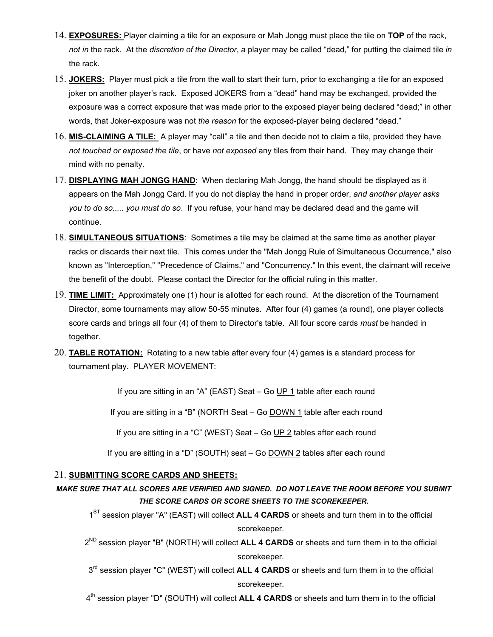- 14. **EXPOSURES:** Player claiming a tile for an exposure or Mah Jongg must place the tile on **TOP** of the rack, *not in* the rack. At the *discretion of the Director*, a player may be called "dead," for putting the claimed tile *in* the rack.
- 15. **JOKERS:** Player must pick a tile from the wall to start their turn, prior to exchanging a tile for an exposed joker on another player's rack. Exposed JOKERS from a "dead" hand may be exchanged, provided the exposure was a correct exposure that was made prior to the exposed player being declared "dead;" in other words, that Joker-exposure was not *the reason* for the exposed-player being declared "dead."
- 16. **MIS-CLAIMING A TILE:** A player may "call" a tile and then decide not to claim a tile, provided they have *not touched or exposed the tile*, or have *not exposed* any tiles from their hand. They may change their mind with no penalty.
- 17. **DISPLAYING MAH JONGG HAND**: When declaring Mah Jongg, the hand should be displayed as it appears on the Mah Jongg Card. If you do not display the hand in proper order, *and another player asks you to do so..... you must do so*. If you refuse, your hand may be declared dead and the game will continue.
- 18. **SIMULTANEOUS SITUATIONS**: Sometimes a tile may be claimed at the same time as another player racks or discards their next tile. This comes under the "Mah Jongg Rule of Simultaneous Occurrence," also known as "Interception," "Precedence of Claims," and "Concurrency." In this event, the claimant will receive the benefit of the doubt. Please contact the Director for the official ruling in this matter.
- 19. **TIME LIMIT:** Approximately one (1) hour is allotted for each round. At the discretion of the Tournament Director, some tournaments may allow 50-55 minutes. After four (4) games (a round), one player collects score cards and brings all four (4) of them to Director's table. All four score cards *must* be handed in together.
- 20. **TABLE ROTATION:** Rotating to a new table after every four (4) games is a standard process for tournament play. PLAYER MOVEMENT:

If you are sitting in an "A" (EAST) Seat – Go UP 1 table after each round

If you are sitting in a "B" (NORTH Seat – Go DOWN 1 table after each round

If you are sitting in a "C" (WEST) Seat – Go UP 2 tables after each round

If you are sitting in a "D" (SOUTH) seat – Go DOWN 2 tables after each round

#### 21. **SUBMITTING SCORE CARDS AND SHEETS:**

*MAKE SURE THAT ALL SCORES ARE VERIFIED AND SIGNED. DO NOT LEAVE THE ROOM BEFORE YOU SUBMIT THE SCORE CARDS OR SCORE SHEETS TO THE SCOREKEEPER.*

1<sup>ST</sup> session player "A" (EAST) will collect **ALL 4 CARDS** or sheets and turn them in to the official scorekeeper.

2ND session player "B" (NORTH) will collect **ALL 4 CARDS** or sheets and turn them in to the official scorekeeper.

 $3<sup>rd</sup>$  session player "C" (WEST) will collect **ALL 4 CARDS** or sheets and turn them in to the official scorekeeper.

4th session player "D" (SOUTH) will collect **ALL 4 CARDS** or sheets and turn them in to the official